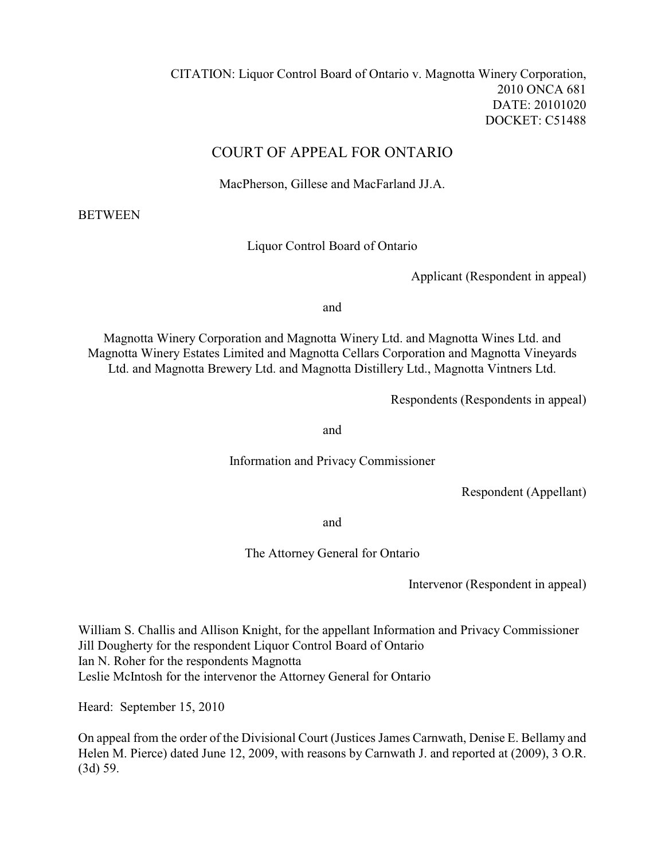# COURT OF APPEAL FOR ONTARIO

MacPherson, Gillese and MacFarland JJ.A.

**BETWEEN** 

Liquor Control Board of Ontario

Applicant (Respondent in appeal)

and

Magnotta Winery Corporation and Magnotta Winery Ltd. and Magnotta Wines Ltd. and Magnotta Winery Estates Limited and Magnotta Cellars Corporation and Magnotta Vineyards Ltd. and Magnotta Brewery Ltd. and Magnotta Distillery Ltd., Magnotta Vintners Ltd.

Respondents (Respondents in appeal)

and

Information and Privacy Commissioner

Respondent (Appellant)

and

The Attorney General for Ontario

Intervenor (Respondent in appeal)

William S. Challis and Allison Knight, for the appellant Information and Privacy Commissioner Jill Dougherty for the respondent Liquor Control Board of Ontario Ian N. Roher for the respondents Magnotta Leslie McIntosh for the intervenor the Attorney General for Ontario

Heard: September 15, 2010

On appeal from the order of the Divisional Court (Justices James Carnwath, Denise E. Bellamy and Helen M. Pierce) dated June 12, 2009, with reasons by Carnwath J. and reported at (2009), 3 O.R. (3d) 59.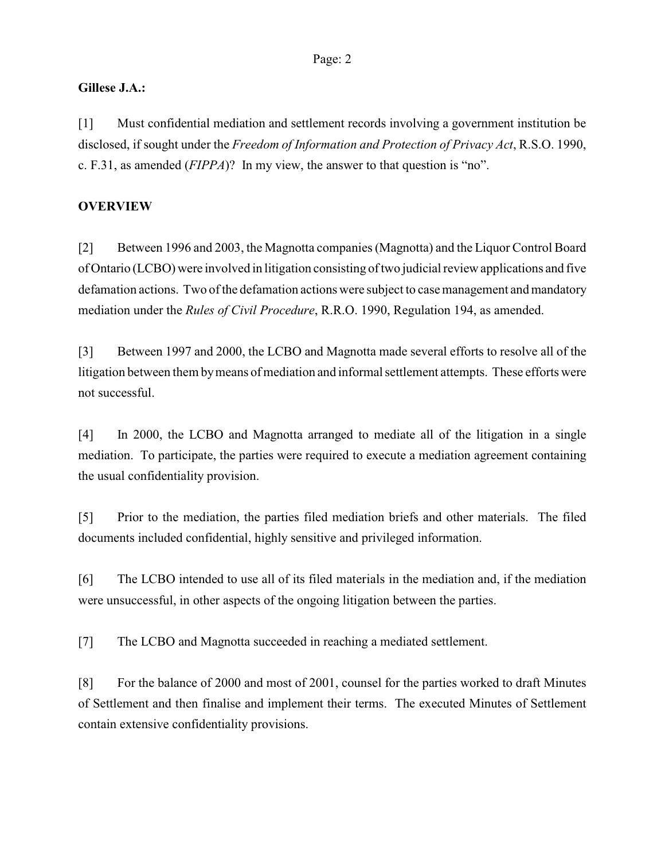## **Gillese J.A.:**

[1] Must confidential mediation and settlement records involving a government institution be disclosed, if sought under the *Freedom of Information and Protection of Privacy Act*, R.S.O. 1990, c. F.31, as amended (*FIPPA*)? In my view, the answer to that question is "no".

# **OVERVIEW**

[2] Between 1996 and 2003, the Magnotta companies (Magnotta) and the Liquor Control Board of Ontario (LCBO) were involved in litigation consisting of two judicial review applications and five defamation actions. Two of the defamation actions were subject to case management and mandatory mediation under the *Rules of Civil Procedure*, R.R.O. 1990, Regulation 194, as amended.

[3] Between 1997 and 2000, the LCBO and Magnotta made several efforts to resolve all of the litigation between them bymeans of mediation and informal settlement attempts. These efforts were not successful.

[4] In 2000, the LCBO and Magnotta arranged to mediate all of the litigation in a single mediation. To participate, the parties were required to execute a mediation agreement containing the usual confidentiality provision.

[5] Prior to the mediation, the parties filed mediation briefs and other materials. The filed documents included confidential, highly sensitive and privileged information.

[6] The LCBO intended to use all of its filed materials in the mediation and, if the mediation were unsuccessful, in other aspects of the ongoing litigation between the parties.

[7] The LCBO and Magnotta succeeded in reaching a mediated settlement.

[8] For the balance of 2000 and most of 2001, counsel for the parties worked to draft Minutes of Settlement and then finalise and implement their terms. The executed Minutes of Settlement contain extensive confidentiality provisions.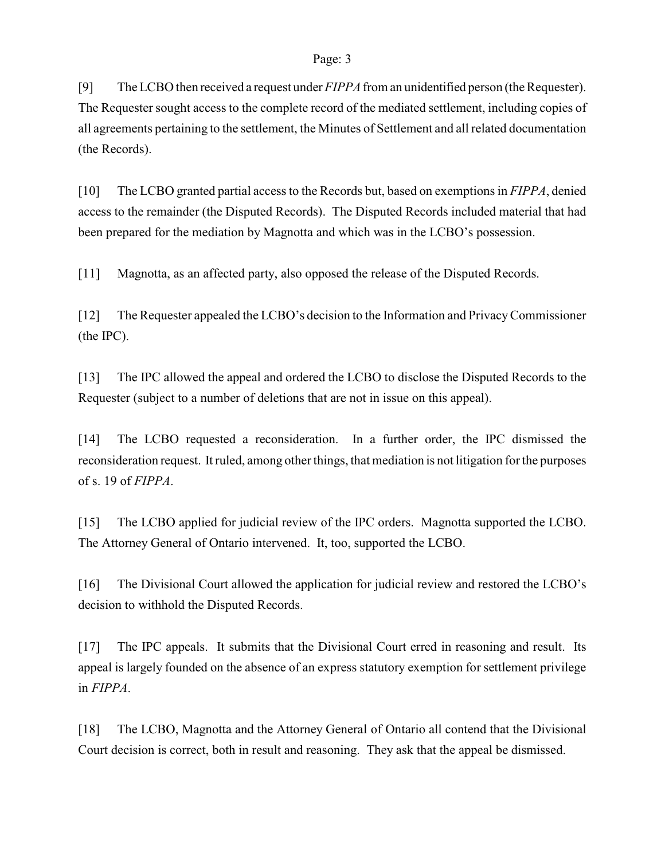[9] The LCBO then received a request under *FIPPA* from an unidentified person (the Requester). The Requester sought access to the complete record of the mediated settlement, including copies of all agreements pertaining to the settlement, the Minutes of Settlement and all related documentation (the Records).

[10] The LCBO granted partial access to the Records but, based on exemptions in *FIPPA*, denied access to the remainder (the Disputed Records). The Disputed Records included material that had been prepared for the mediation by Magnotta and which was in the LCBO's possession.

[11] Magnotta, as an affected party, also opposed the release of the Disputed Records.

[12] The Requester appealed the LCBO's decision to the Information and Privacy Commissioner (the IPC).

[13] The IPC allowed the appeal and ordered the LCBO to disclose the Disputed Records to the Requester (subject to a number of deletions that are not in issue on this appeal).

[14] The LCBO requested a reconsideration. In a further order, the IPC dismissed the reconsideration request. It ruled, among other things, that mediation is not litigation for the purposes of s. 19 of *FIPPA*.

[15] The LCBO applied for judicial review of the IPC orders. Magnotta supported the LCBO. The Attorney General of Ontario intervened. It, too, supported the LCBO.

[16] The Divisional Court allowed the application for judicial review and restored the LCBO's decision to withhold the Disputed Records.

[17] The IPC appeals. It submits that the Divisional Court erred in reasoning and result. Its appeal is largely founded on the absence of an express statutory exemption for settlement privilege in *FIPPA*.

[18] The LCBO, Magnotta and the Attorney General of Ontario all contend that the Divisional Court decision is correct, both in result and reasoning. They ask that the appeal be dismissed.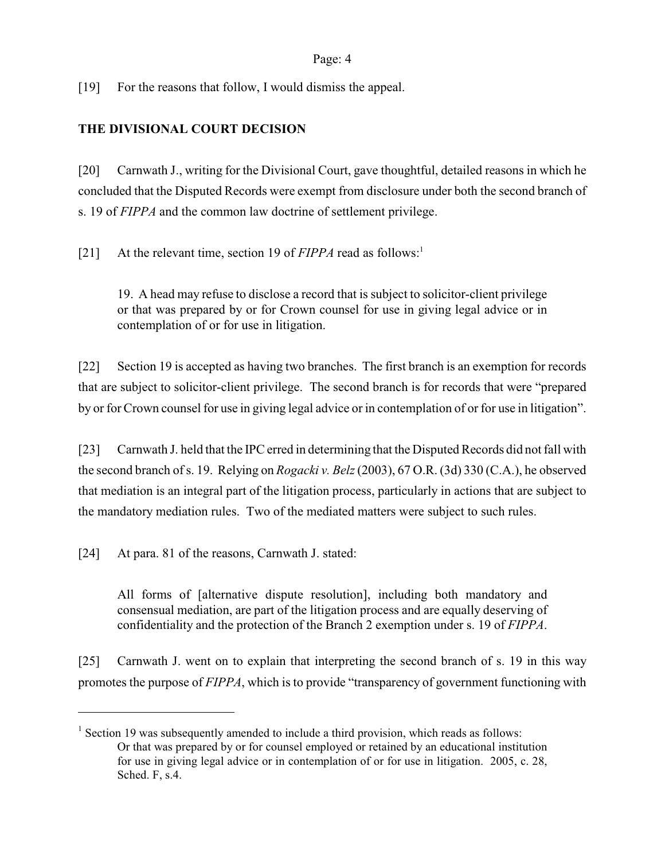[19] For the reasons that follow, I would dismiss the appeal.

# **THE DIVISIONAL COURT DECISION**

[20] Carnwath J., writing for the Divisional Court, gave thoughtful, detailed reasons in which he concluded that the Disputed Records were exempt from disclosure under both the second branch of s. 19 of *FIPPA* and the common law doctrine of settlement privilege.

[21] At the relevant time, section 19 of *FIPPA* read as follows:<sup>1</sup>

19. A head may refuse to disclose a record that is subject to solicitor-client privilege or that was prepared by or for Crown counsel for use in giving legal advice or in contemplation of or for use in litigation.

[22] Section 19 is accepted as having two branches. The first branch is an exemption for records that are subject to solicitor-client privilege. The second branch is for records that were "prepared by or for Crown counsel for use in giving legal advice or in contemplation of or for use in litigation".

[23] Carnwath J. held that the IPC erred in determining that the Disputed Records did not fall with the second branch of s. 19. Relying on *Rogacki v. Belz*(2003), 67 O.R. (3d) 330 (C.A.), he observed that mediation is an integral part of the litigation process, particularly in actions that are subject to the mandatory mediation rules. Two of the mediated matters were subject to such rules.

[24] At para. 81 of the reasons, Carnwath J. stated:

All forms of [alternative dispute resolution], including both mandatory and consensual mediation, are part of the litigation process and are equally deserving of confidentiality and the protection of the Branch 2 exemption under s. 19 of *FIPPA*.

[25] Carnwath J. went on to explain that interpreting the second branch of s. 19 in this way promotes the purpose of *FIPPA*, which is to provide "transparency of government functioning with

<sup>&</sup>lt;sup>1</sup> Section 19 was subsequently amended to include a third provision, which reads as follows: Or that was prepared by or for counsel employed or retained by an educational institution for use in giving legal advice or in contemplation of or for use in litigation. 2005, c. 28, Sched. F, s.4.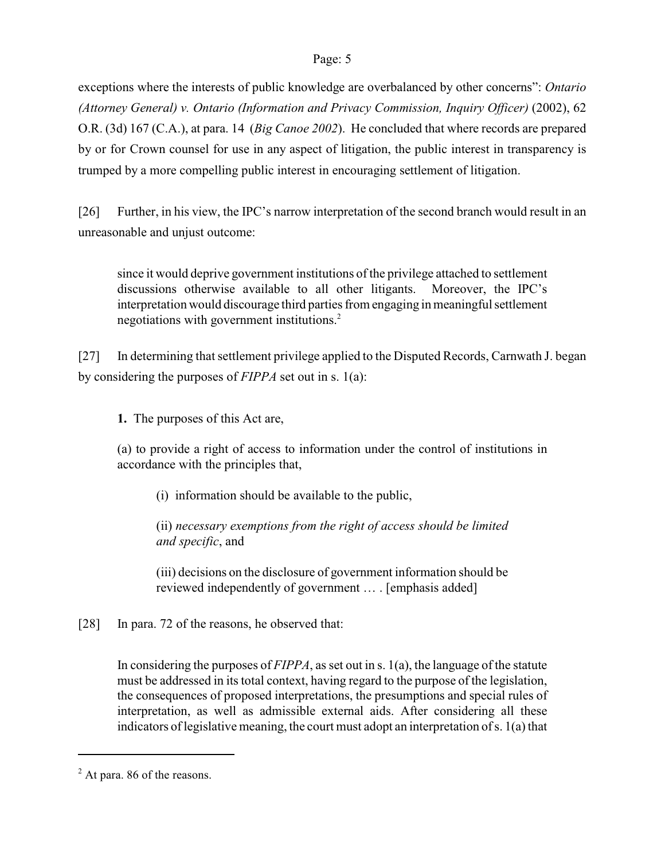exceptions where the interests of public knowledge are overbalanced by other concerns": *Ontario (Attorney General) v. Ontario (Information and Privacy Commission, Inquiry Officer)* (2002), 62 O.R. (3d) 167 (C.A.), at para. 14 (*Big Canoe 2002*). He concluded that where records are prepared by or for Crown counsel for use in any aspect of litigation, the public interest in transparency is trumped by a more compelling public interest in encouraging settlement of litigation.

[26] Further, in his view, the IPC's narrow interpretation of the second branch would result in an unreasonable and unjust outcome:

since it would deprive government institutions of the privilege attached to settlement discussions otherwise available to all other litigants. Moreover, the IPC's interpretation would discourage third parties from engaging in meaningful settlement negotiations with government institutions.<sup>2</sup>

[27] In determining that settlement privilege applied to the Disputed Records, Carnwath J. began by considering the purposes of *FIPPA* set out in s. 1(a):

**1.** The purposes of this Act are,

(a) to provide a right of access to information under the control of institutions in accordance with the principles that,

(i) information should be available to the public,

(ii) *necessary exemptions from the right of access should be limited and specific*, and

(iii) decisions on the disclosure of government information should be reviewed independently of government … . [emphasis added]

[28] In para. 72 of the reasons, he observed that:

In considering the purposes of *FIPPA*, as set out in s. 1(a), the language of the statute must be addressed in its total context, having regard to the purpose of the legislation, the consequences of proposed interpretations, the presumptions and special rules of interpretation, as well as admissible external aids. After considering all these indicators of legislative meaning, the court must adopt an interpretation of s. 1(a) that

 $2$  At para. 86 of the reasons.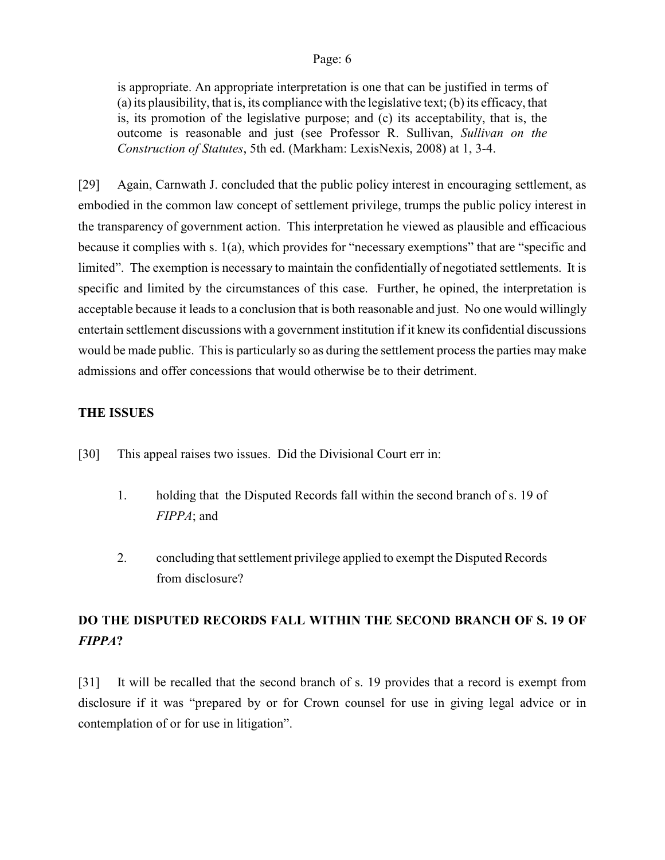is appropriate. An appropriate interpretation is one that can be justified in terms of (a) its plausibility, that is, its compliance with the legislative text; (b) its efficacy, that is, its promotion of the legislative purpose; and (c) its acceptability, that is, the outcome is reasonable and just (see Professor R. Sullivan, *Sullivan on the Construction of Statutes*, 5th ed. (Markham: LexisNexis, 2008) at 1, 3-4.

[29] Again, Carnwath J. concluded that the public policy interest in encouraging settlement, as embodied in the common law concept of settlement privilege, trumps the public policy interest in the transparency of government action. This interpretation he viewed as plausible and efficacious because it complies with s. 1(a), which provides for "necessary exemptions" that are "specific and limited". The exemption is necessary to maintain the confidentially of negotiated settlements. It is specific and limited by the circumstances of this case. Further, he opined, the interpretation is acceptable because it leads to a conclusion that is both reasonable and just. No one would willingly entertain settlement discussions with a government institution if it knew its confidential discussions would be made public. This is particularly so as during the settlement process the parties may make admissions and offer concessions that would otherwise be to their detriment.

## **THE ISSUES**

- [30] This appeal raises two issues. Did the Divisional Court err in:
	- 1. holding that the Disputed Records fall within the second branch of s. 19 of *FIPPA*; and
	- 2. concluding that settlement privilege applied to exempt the Disputed Records from disclosure?

# **DO THE DISPUTED RECORDS FALL WITHIN THE SECOND BRANCH OF S. 19 OF** *FIPPA***?**

[31] It will be recalled that the second branch of s. 19 provides that a record is exempt from disclosure if it was "prepared by or for Crown counsel for use in giving legal advice or in contemplation of or for use in litigation".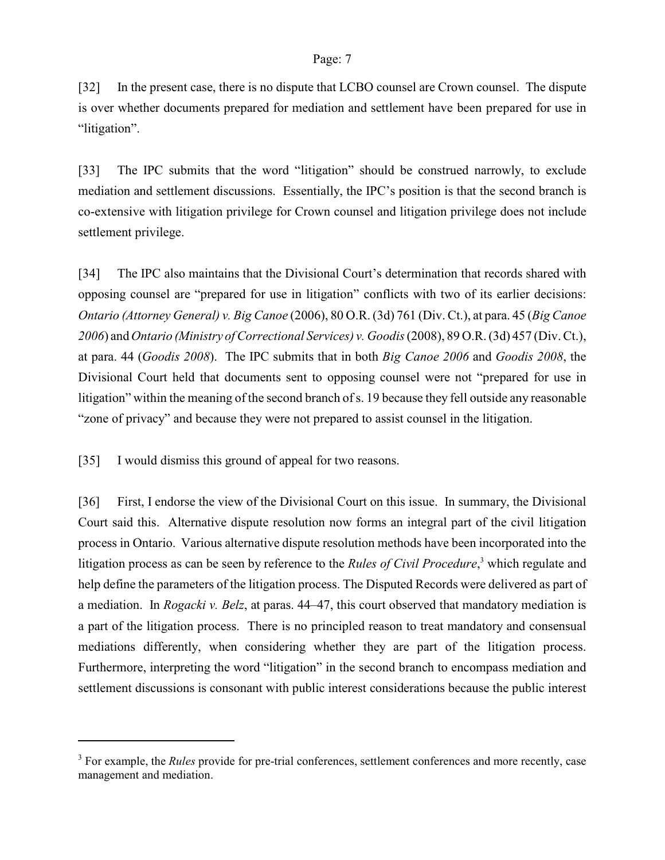[32] In the present case, there is no dispute that LCBO counsel are Crown counsel. The dispute is over whether documents prepared for mediation and settlement have been prepared for use in "litigation".

[33] The IPC submits that the word "litigation" should be construed narrowly, to exclude mediation and settlement discussions. Essentially, the IPC's position is that the second branch is co-extensive with litigation privilege for Crown counsel and litigation privilege does not include settlement privilege.

[34] The IPC also maintains that the Divisional Court's determination that records shared with opposing counsel are "prepared for use in litigation" conflicts with two of its earlier decisions: *Ontario (Attorney General) v. Big Canoe* (2006), 80 O.R. (3d) 761 (Div. Ct.), at para. 45 (*Big Canoe 2006*) and *Ontario (Ministry of Correctional Services) v. Goodis* (2008), 89 O.R. (3d) 457 (Div. Ct.), at para. 44 (*Goodis 2008*). The IPC submits that in both *Big Canoe 2006* and *Goodis 2008*, the Divisional Court held that documents sent to opposing counsel were not "prepared for use in litigation" within the meaning of the second branch ofs. 19 because they fell outside any reasonable "zone of privacy" and because they were not prepared to assist counsel in the litigation.

[35] I would dismiss this ground of appeal for two reasons.

[36] First, I endorse the view of the Divisional Court on this issue. In summary, the Divisional Court said this. Alternative dispute resolution now forms an integral part of the civil litigation process in Ontario. Various alternative dispute resolution methods have been incorporated into the litigation process as can be seen by reference to the *Rules of Civil Procedure*,<sup>3</sup> which regulate and help define the parameters of the litigation process. The Disputed Records were delivered as part of a mediation. In *Rogacki v. Belz*, at paras. 44–47, this court observed that mandatory mediation is a part of the litigation process. There is no principled reason to treat mandatory and consensual mediations differently, when considering whether they are part of the litigation process. Furthermore, interpreting the word "litigation" in the second branch to encompass mediation and settlement discussions is consonant with public interest considerations because the public interest

<sup>&</sup>lt;sup>3</sup> For example, the *Rules* provide for pre-trial conferences, settlement conferences and more recently, case management and mediation.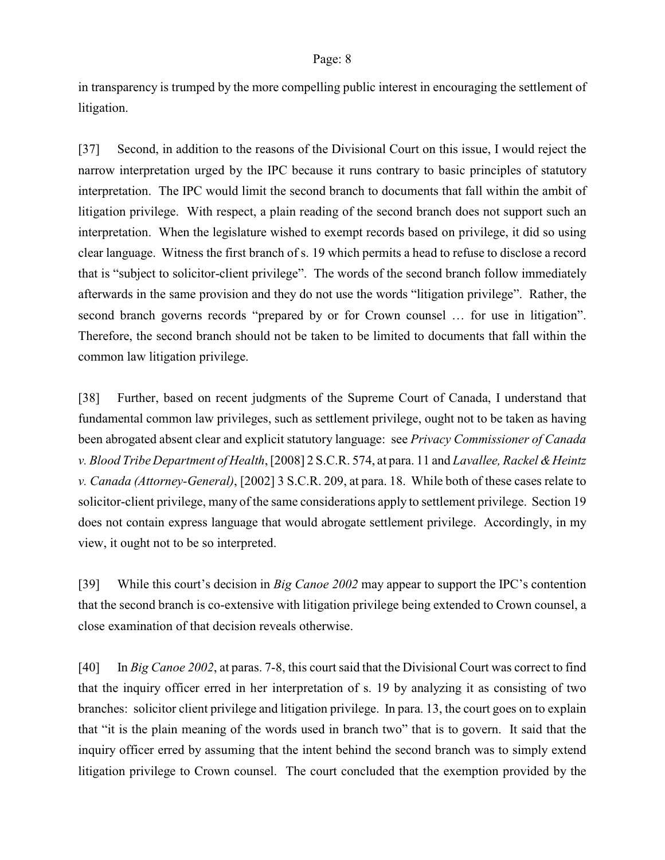in transparency is trumped by the more compelling public interest in encouraging the settlement of litigation.

[37] Second, in addition to the reasons of the Divisional Court on this issue, I would reject the narrow interpretation urged by the IPC because it runs contrary to basic principles of statutory interpretation. The IPC would limit the second branch to documents that fall within the ambit of litigation privilege. With respect, a plain reading of the second branch does not support such an interpretation. When the legislature wished to exempt records based on privilege, it did so using clear language. Witness the first branch of s. 19 which permits a head to refuse to disclose a record that is "subject to solicitor-client privilege". The words of the second branch follow immediately afterwards in the same provision and they do not use the words "litigation privilege". Rather, the second branch governs records "prepared by or for Crown counsel … for use in litigation". Therefore, the second branch should not be taken to be limited to documents that fall within the common law litigation privilege.

[38] Further, based on recent judgments of the Supreme Court of Canada, I understand that fundamental common law privileges, such as settlement privilege, ought not to be taken as having been abrogated absent clear and explicit statutory language: see *Privacy Commissioner of Canada v. Blood Tribe Department of Health*, [2008] 2 S.C.R. 574, at para. 11 and *Lavallee, Rackel & Heintz v. Canada (Attorney-General)*, [2002] 3 S.C.R. 209, at para. 18. While both of these cases relate to solicitor-client privilege, many of the same considerations apply to settlement privilege. Section 19 does not contain express language that would abrogate settlement privilege. Accordingly, in my view, it ought not to be so interpreted.

[39] While this court's decision in *Big Canoe 2002* may appear to support the IPC's contention that the second branch is co-extensive with litigation privilege being extended to Crown counsel, a close examination of that decision reveals otherwise.

[40] In *Big Canoe 2002*, at paras. 7-8, this court said that the Divisional Court was correct to find that the inquiry officer erred in her interpretation of s. 19 by analyzing it as consisting of two branches: solicitor client privilege and litigation privilege. In para. 13, the court goes on to explain that "it is the plain meaning of the words used in branch two" that is to govern. It said that the inquiry officer erred by assuming that the intent behind the second branch was to simply extend litigation privilege to Crown counsel. The court concluded that the exemption provided by the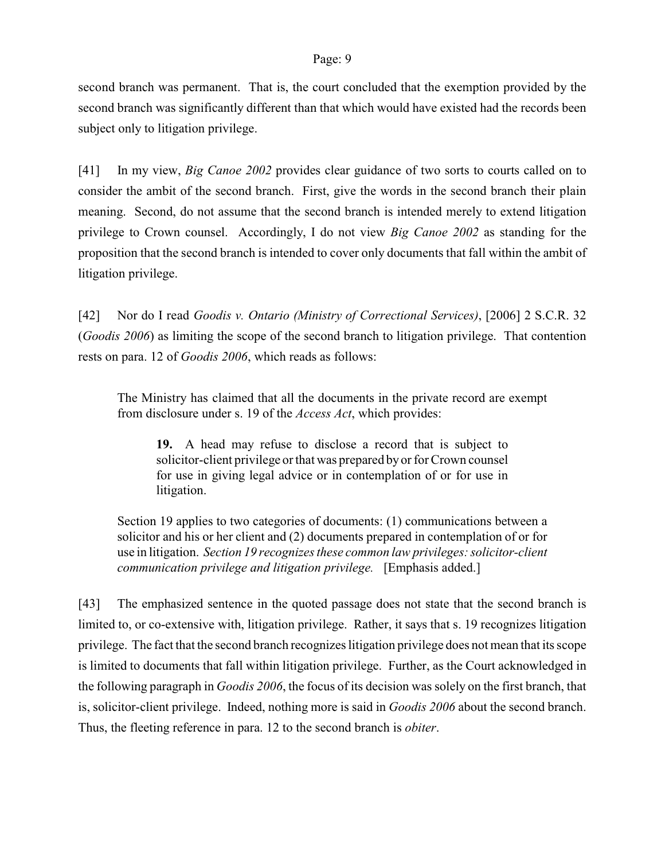second branch was permanent. That is, the court concluded that the exemption provided by the second branch was significantly different than that which would have existed had the records been subject only to litigation privilege.

[41] In my view, *Big Canoe 2002* provides clear guidance of two sorts to courts called on to consider the ambit of the second branch. First, give the words in the second branch their plain meaning. Second, do not assume that the second branch is intended merely to extend litigation privilege to Crown counsel. Accordingly, I do not view *Big Canoe 2002* as standing for the proposition that the second branch is intended to cover only documents that fall within the ambit of litigation privilege.

[42] Nor do I read *Goodis v. Ontario (Ministry of Correctional Services)*, [2006] 2 S.C.R. 32 (*Goodis 2006*) as limiting the scope of the second branch to litigation privilege. That contention rests on para. 12 of *Goodis 2006*, which reads as follows:

The Ministry has claimed that all the documents in the private record are exempt from disclosure under s. 19 of the *Access Act*, which provides:

**19.** A head may refuse to disclose a record that is subject to solicitor-client privilege or that was prepared byor for Crown counsel for use in giving legal advice or in contemplation of or for use in litigation.

Section 19 applies to two categories of documents: (1) communications between a solicitor and his or her client and (2) documents prepared in contemplation of or for use in litigation. *Section 19 recognizes these common law privileges: solicitor-client communication privilege and litigation privilege.* [Emphasis added.]

[43] The emphasized sentence in the quoted passage does not state that the second branch is limited to, or co-extensive with, litigation privilege. Rather, it says that s. 19 recognizes litigation privilege. The fact that the second branch recognizes litigation privilege does not mean that its scope is limited to documents that fall within litigation privilege. Further, as the Court acknowledged in the following paragraph in *Goodis 2006*, the focus of its decision was solely on the first branch, that is, solicitor-client privilege. Indeed, nothing more is said in *Goodis 2006* about the second branch. Thus, the fleeting reference in para. 12 to the second branch is *obiter*.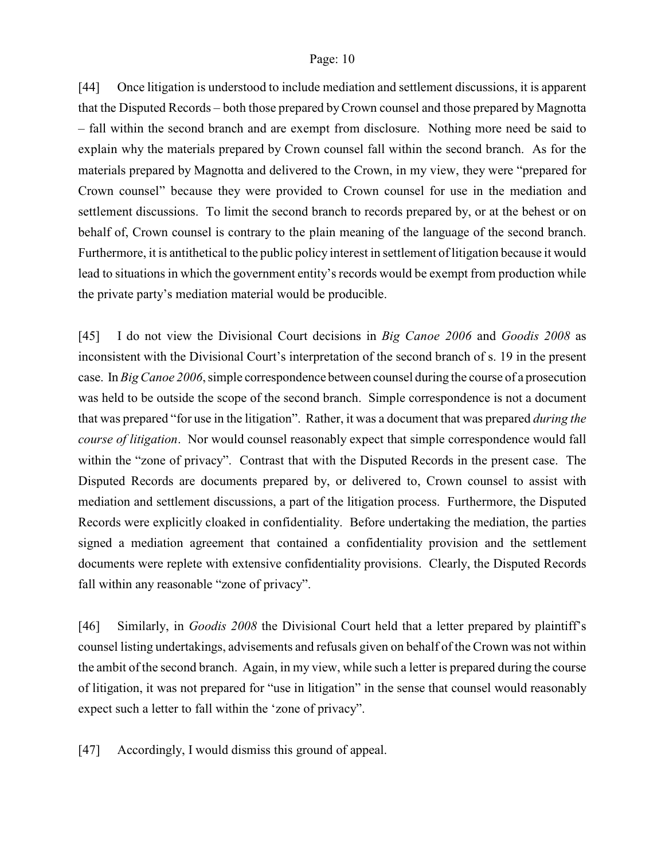[44] Once litigation is understood to include mediation and settlement discussions, it is apparent that the Disputed Records – both those prepared byCrown counsel and those prepared by Magnotta – fall within the second branch and are exempt from disclosure. Nothing more need be said to explain why the materials prepared by Crown counsel fall within the second branch. As for the materials prepared by Magnotta and delivered to the Crown, in my view, they were "prepared for Crown counsel" because they were provided to Crown counsel for use in the mediation and settlement discussions. To limit the second branch to records prepared by, or at the behest or on behalf of, Crown counsel is contrary to the plain meaning of the language of the second branch. Furthermore, it is antithetical to the public policy interest in settlement of litigation because it would lead to situations in which the government entity's records would be exempt from production while the private party's mediation material would be producible.

[45] I do not view the Divisional Court decisions in *Big Canoe 2006* and *Goodis 2008* as inconsistent with the Divisional Court's interpretation of the second branch of s. 19 in the present case. In *Big Canoe 2006*, simple correspondence between counsel during the course of a prosecution was held to be outside the scope of the second branch. Simple correspondence is not a document that was prepared "for use in the litigation". Rather, it was a document that was prepared *during the course of litigation*. Nor would counsel reasonably expect that simple correspondence would fall within the "zone of privacy". Contrast that with the Disputed Records in the present case. The Disputed Records are documents prepared by, or delivered to, Crown counsel to assist with mediation and settlement discussions, a part of the litigation process. Furthermore, the Disputed Records were explicitly cloaked in confidentiality. Before undertaking the mediation, the parties signed a mediation agreement that contained a confidentiality provision and the settlement documents were replete with extensive confidentiality provisions. Clearly, the Disputed Records fall within any reasonable "zone of privacy".

[46] Similarly, in *Goodis 2008* the Divisional Court held that a letter prepared by plaintiff's counsel listing undertakings, advisements and refusals given on behalf of the Crown was not within the ambit of the second branch. Again, in my view, while such a letter is prepared during the course of litigation, it was not prepared for "use in litigation" in the sense that counsel would reasonably expect such a letter to fall within the 'zone of privacy".

[47] Accordingly, I would dismiss this ground of appeal.